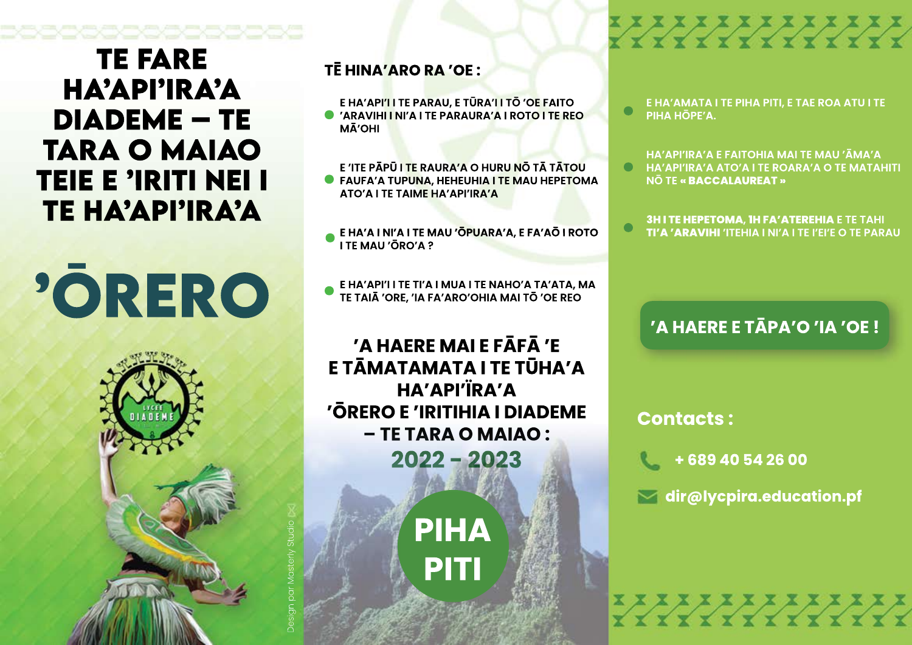# **COCOCOCO TE FARE** HA'API'IRA'A **DIADEME - TE TARA O MAIAO TEIE E 'IRITI NEI I** ΤΕ ΗΑΆΡΙ'ΙRΑΆ

'ORERO



TĒ HINA'ARO RA 'OE :

E HA'API'I I TE PARAU, E TŪRA'I I TŌ 'OE FAITO

C 'ARAVIHI I NI'A I TE PARAURA'A I ROTO I TE REO **MĀ'OHI** 

E 'ITE PĂPŪ I TE RAURA'A O HURU NO TĂ TĂTOU **C** FAUFA'A TUPUNA, HEHEUHIA I TE MAU HEPETOMA **ATO'A I TE TAIME HA'API'IRA'A** 

E HA'A I NI'A I TE MAU 'ŌPUARA'A, E FA'AŌ I ROTO<br>I TE MAU 'ŌRO'A ?

E HA'API'I I TE TI'A I MUA I TE NAHO'A TA'ATA, MA<br>TE TAIĀ 'ORE, 'IA FA'ARO'OHIA MAI TŌ 'OE REO

'A HAERE MAI E FĀFĀ 'E E TĀMATAMATA I TE TŪHA'A HA'API'ÏRA'A 'ŌRERO E 'IRITIHIA I DIADEME - TE TARA O MAIAO:  $2022 - 2023$ 

> **PIHA PITI**

E HA'AMATA I TE PIHA PITI, E TAE ROA ATU I TE  $\bullet$ PIHA HŌPF'A.

**PARTICIPALE** 

HA'API'IRA'A E FAITOHIA MAI TE MAU 'ĀMA'A **HA'API'IRA'A ATO'A I TE ROARA'A O TE MATAHITI NO TE « BACCALAUREAT »** 

**3H I TE HEPETOMA, IH FA' ATEREHIA E TE TAHI TI'A 'ARAVIHI 'ITEHIA I NI'A I TE I'EI'E O TE PARAU** 

## 'A HAERE E TĀPA'O 'IA 'OE!

**Contacts:** 

+68940542600

 $\blacktriangleright$  dir@lycpira.education.pf

**YYYYYYYYYY**